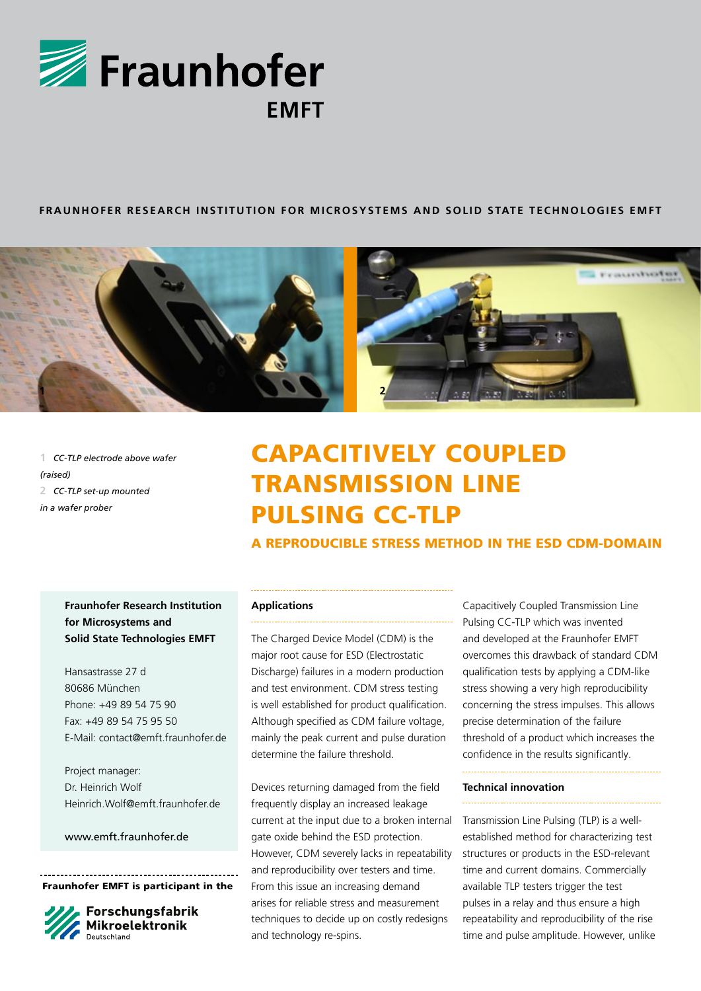

## **FRAUNHOFER RESEARCH INSTITUTION FOR MICROSYSTEMS AND SOLID STATE TECHNOLOGIES EMFT**



**1** *CC-TLP electrode above wafer (raised)* **2** *CC-TLP set-up mounted in a wafer prober*

# Capacitively Coupled Transmission Line Pulsing CC-TLP

A Reproducible Stress Method in the ESD CDM-Domain

# **Fraunhofer Research Institution for Microsystems and Solid State Technologies EMFT**

Hansastrasse 27 d 80686 München Phone: +49 89 54 75 90 Fax: +49 89 54 75 95 50 E-Mail: contact@emft.fraunhofer.de

Project manager: Dr. Heinrich Wolf Heinrich.Wolf@emft.fraunhofer.de

www.emft.fraunhofer.de

Fraunhofer EMFT is participant in the



Forschungsfabrik **Mikroelektronik** 

# **Applications**

The Charged Device Model (CDM) is the major root cause for ESD (Electrostatic Discharge) failures in a modern production and test environment. CDM stress testing is well established for product qualification. Although specified as CDM failure voltage, mainly the peak current and pulse duration determine the failure threshold.

Devices returning damaged from the field frequently display an increased leakage current at the input due to a broken internal gate oxide behind the ESD protection. However, CDM severely lacks in repeatability and reproducibility over testers and time. From this issue an increasing demand arises for reliable stress and measurement techniques to decide up on costly redesigns and technology re-spins.

Capacitively Coupled Transmission Line Pulsing CC-TLP which was invented and developed at the Fraunhofer EMFT overcomes this drawback of standard CDM qualification tests by applying a CDM-like stress showing a very high reproducibility concerning the stress impulses. This allows precise determination of the failure threshold of a product which increases the confidence in the results significantly.

### **Technical innovation**

Transmission Line Pulsing (TLP) is a wellestablished method for characterizing test structures or products in the ESD-relevant time and current domains. Commercially available TLP testers trigger the test pulses in a relay and thus ensure a high repeatability and reproducibility of the rise time and pulse amplitude. However, unlike